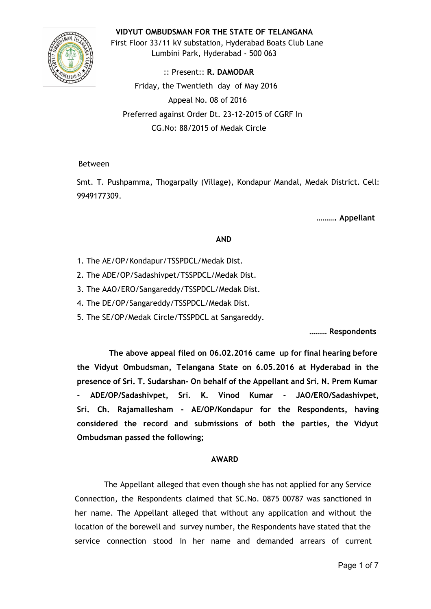#### **VIDYUT OMBUDSMAN FOR THE STATE OF TELANGANA**



First Floor 33/11 kV substation, Hyderabad Boats Club Lane Lumbini Park, Hyderabad ‐ 500 063

:: Present:: **R. DAMODAR** Friday, the Twentieth day of May 2016 Appeal No. 08 of 2016 Preferred against Order Dt. 23‐12‐2015 of CGRF In CG.No: 88/2015 of Medak Circle

#### Between

Smt. T. Pushpamma, Thogarpally (Village), Kondapur Mandal, Medak District. Cell: 9949177309.

**………. Appellant**

### **AND**

- 1. The AE/OP/Kondapur/TSSPDCL/Medak Dist.
- 2. The ADE/OP/Sadashivpet/TSSPDCL/Medak Dist.
- 3. The AAO/ERO/Sangareddy/TSSPDCL/Medak Dist.
- 4. The DE/OP/Sangareddy/TSSPDCL/Medak Dist.
- 5. The SE/OP/Medak Circle/TSSPDCL at Sangareddy.

**……… Respondents**

**The above appeal filed on 06.02.2016 came up for final hearing before the Vidyut Ombudsman, Telangana State on 6.05.2016 at Hyderabad in the presence of Sri. T. Sudarshan‐ On behalf of the Appellant and Sri. N. Prem Kumar ‐ ADE/OP/Sadashivpet, Sri. K. Vinod Kumar ‐ JAO/ERO/Sadashivpet, Sri. Ch. Rajamallesham ‐ AE/OP/Kondapur for the Respondents, having considered the record and submissions of both the parties, the Vidyut Ombudsman passed the following;**

# **AWARD**

The Appellant alleged that even though she has not applied for any Service Connection, the Respondents claimed that SC.No. 0875 00787 was sanctioned in her name. The Appellant alleged that without any application and without the location of the borewell and survey number, the Respondents have stated that the service connection stood in her name and demanded arrears of current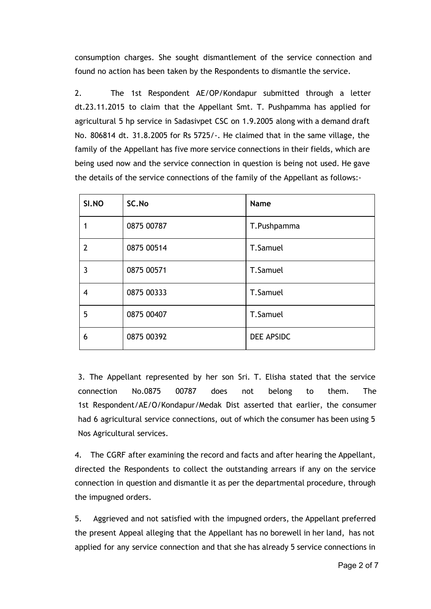consumption charges. She sought dismantlement of the service connection and found no action has been taken by the Respondents to dismantle the service.

2. The 1st Respondent AE/OP/Kondapur submitted through a letter dt.23.11.2015 to claim that the Appellant Smt. T. Pushpamma has applied for agricultural 5 hp service in Sadasivpet CSC on 1.9.2005 along with a demand draft No. 806814 dt. 31.8.2005 for Rs 5725/‐. He claimed that in the same village, the family of the Appellant has five more service connections in their fields, which are being used now and the service connection in question is being not used. He gave the details of the service connections of the family of the Appellant as follows:‐

| SI.NO          | SC.No      | <b>Name</b> |
|----------------|------------|-------------|
|                | 0875 00787 | T.Pushpamma |
| $\overline{2}$ | 0875 00514 | T.Samuel    |
| 3              | 0875 00571 | T.Samuel    |
| 4              | 0875 00333 | T.Samuel    |
| 5              | 0875 00407 | T.Samuel    |
| 6              | 0875 00392 | DEE APSIDC  |

3. The Appellant represented by her son Sri. T. Elisha stated that the service connection No.0875 00787 does not belong to them. The 1st Respondent/AE/O/Kondapur/Medak Dist asserted that earlier, the consumer had 6 agricultural service connections, out of which the consumer has been using 5 Nos Agricultural services.

4. The CGRF after examining the record and facts and after hearing the Appellant, directed the Respondents to collect the outstanding arrears if any on the service connection in question and dismantle it as per the departmental procedure, through the impugned orders.

5. Aggrieved and not satisfied with the impugned orders, the Appellant preferred the present Appeal alleging that the Appellant has no borewell in her land, has not applied for any service connection and that she has already 5 service connections in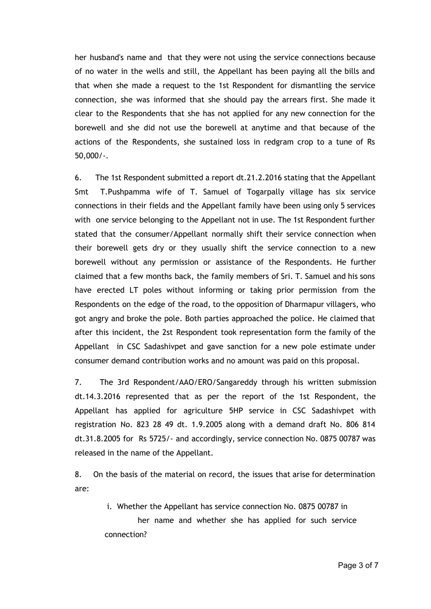her husband's name and that they were not using the service connections because of no water in the wells and still, the Appellant has been paying all the bills and that when she made a request to the 1st Respondent for dismantling the service connection, she was informed that she should pay the arrears first. She made it clear to the Respondents that she has not applied for any new connection for the borewell and she did not use the borewell at anytime and that because of the actions of the Respondents, she sustained loss in redgram crop to a tune of Rs 50,000/‐.

6. The 1st Respondent submitted a report dt.21.2.2016 stating that the Appellant Smt T.Pushpamma wife of T. Samuel of Togarpally village has six service connections in their fields and the Appellant family have been using only 5 services with one service belonging to the Appellant not in use. The 1st Respondent further stated that the consumer/Appellant normally shift their service connection when their borewell gets dry or they usually shift the service connection to a new borewell without any permission or assistance of the Respondents. He further claimed that a few months back, the family members of Sri. T. Samuel and his sons have erected LT poles without informing or taking prior permission from the Respondents on the edge of the road, to the opposition of Dharmapur villagers, who got angry and broke the pole. Both parties approached the police. He claimed that after this incident, the 2st Respondent took representation form the family of the Appellant in CSC Sadashivpet and gave sanction for a new pole estimate under consumer demand contribution works and no amount was paid on this proposal.

7. The 3rd Respondent/AAO/ERO/Sangareddy through his written submission dt.14.3.2016 represented that as per the report of the 1st Respondent, the Appellant has applied for agriculture 5HP service in CSC Sadashivpet with registration No. 823 28 49 dt. 1.9.2005 along with a demand draft No. 806 814 dt.31.8.2005 for Rs 5725/‐ and accordingly, service connection No. 0875 00787 was released in the name of the Appellant.

8. On the basis of the material on record, the issues that arise for determination are:

i. Whether the Appellant has service connection No. 0875 00787 in her name and whether she has applied for such service connection?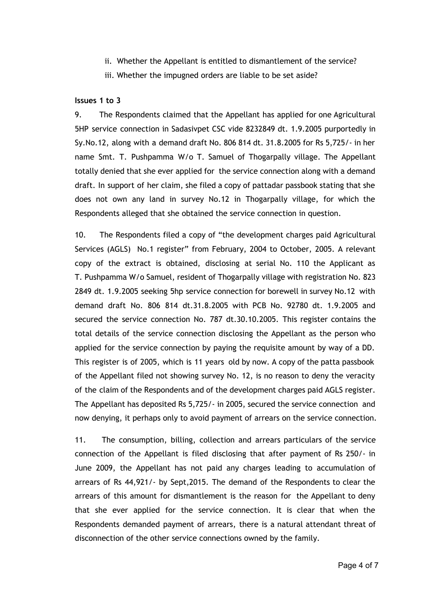- ii. Whether the Appellant is entitled to dismantlement of the service?
- iii. Whether the impugned orders are liable to be set aside?

## **Issues 1 to 3**

9. The Respondents claimed that the Appellant has applied for one Agricultural 5HP service connection in Sadasivpet CSC vide 8232849 dt. 1.9.2005 purportedly in Sy.No.12, along with a demand draft No. 806 814 dt. 31.8.2005 for Rs 5,725/‐ in her name Smt. T. Pushpamma W/o T. Samuel of Thogarpally village. The Appellant totally denied that she ever applied for the service connection along with a demand draft. In support of her claim, she filed a copy of pattadar passbook stating that she does not own any land in survey No.12 in Thogarpally village, for which the Respondents alleged that she obtained the service connection in question.

10. The Respondents filed a copy of "the development charges paid Agricultural Services (AGLS) No.1 register" from February, 2004 to October, 2005. A relevant copy of the extract is obtained, disclosing at serial No. 110 the Applicant as T. Pushpamma W/o Samuel, resident of Thogarpally village with registration No. 823 2849 dt. 1.9.2005 seeking 5hp service connection for borewell in survey No.12 with demand draft No. 806 814 dt.31.8.2005 with PCB No. 92780 dt. 1.9.2005 and secured the service connection No. 787 dt.30.10.2005. This register contains the total details of the service connection disclosing the Appellant as the person who applied for the service connection by paying the requisite amount by way of a DD. This register is of 2005, which is 11 years old by now. A copy of the patta passbook of the Appellant filed not showing survey No. 12, is no reason to deny the veracity of the claim of the Respondents and of the development charges paid AGLS register. The Appellant has deposited Rs 5,725/‐ in 2005, secured the service connection and now denying, it perhaps only to avoid payment of arrears on the service connection.

11. The consumption, billing, collection and arrears particulars of the service connection of the Appellant is filed disclosing that after payment of Rs 250/‐ in June 2009, the Appellant has not paid any charges leading to accumulation of arrears of Rs 44,921/‐ by Sept,2015. The demand of the Respondents to clear the arrears of this amount for dismantlement is the reason for the Appellant to deny that she ever applied for the service connection. It is clear that when the Respondents demanded payment of arrears, there is a natural attendant threat of disconnection of the other service connections owned by the family.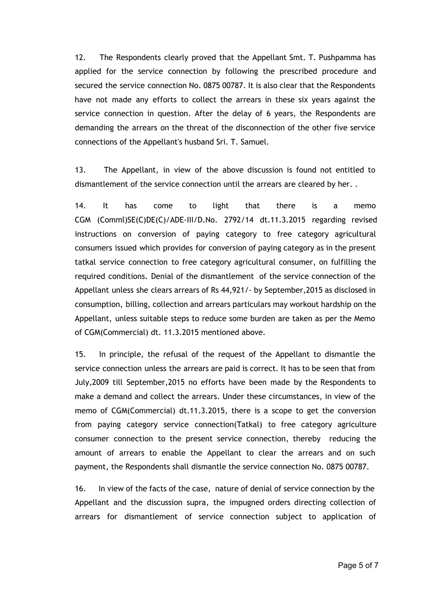12. The Respondents clearly proved that the Appellant Smt. T. Pushpamma has applied for the service connection by following the prescribed procedure and secured the service connection No. 0875 00787. It is also clear that the Respondents have not made any efforts to collect the arrears in these six years against the service connection in question. After the delay of 6 years, the Respondents are demanding the arrears on the threat of the disconnection of the other five service connections of the Appellant's husband Sri. T. Samuel.

13. The Appellant, in view of the above discussion is found not entitled to dismantlement of the service connection until the arrears are cleared by her. .

14. It has come to light that there is a memo CGM (Comml)SE(C)DE(C)/ADE‐III/D.No. 2792/14 dt.11.3.2015 regarding revised instructions on conversion of paying category to free category agricultural consumers issued which provides for conversion of paying category as in the present tatkal service connection to free category agricultural consumer, on fulfilling the required conditions. Denial of the dismantlement of the service connection of the Appellant unless she clears arrears of Rs 44,921/‐ by September,2015 as disclosed in consumption, billing, collection and arrears particulars may workout hardship on the Appellant, unless suitable steps to reduce some burden are taken as per the Memo of CGM(Commercial) dt. 11.3.2015 mentioned above.

15. In principle, the refusal of the request of the Appellant to dismantle the service connection unless the arrears are paid is correct. It has to be seen that from July,2009 till September,2015 no efforts have been made by the Respondents to make a demand and collect the arrears. Under these circumstances, in view of the memo of CGM(Commercial) dt.11.3.2015, there is a scope to get the conversion from paying category service connection(Tatkal) to free category agriculture consumer connection to the present service connection, thereby reducing the amount of arrears to enable the Appellant to clear the arrears and on such payment, the Respondents shall dismantle the service connection No. 0875 00787.

16. In view of the facts of the case, nature of denial of service connection by the Appellant and the discussion supra, the impugned orders directing collection of arrears for dismantlement of service connection subject to application of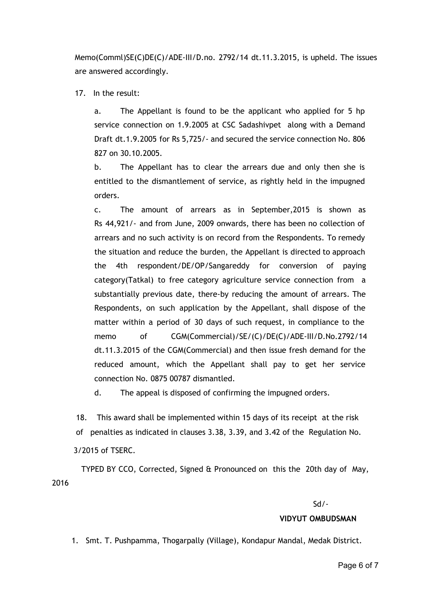Memo(Comml)SE(C)DE(C)/ADE-III/D.no. 2792/14 dt.11.3.2015, is upheld. The issues are answered accordingly.

17. In the result:

a. The Appellant is found to be the applicant who applied for 5 hp service connection on 1.9.2005 at CSC Sadashivpet along with a Demand Draft dt.1.9.2005 for Rs 5,725/‐ and secured the service connection No. 806 827 on 30.10.2005.

b. The Appellant has to clear the arrears due and only then she is entitled to the dismantlement of service, as rightly held in the impugned orders.

c. The amount of arrears as in September,2015 is shown as Rs 44,921/‐ and from June, 2009 onwards, there has been no collection of arrears and no such activity is on record from the Respondents. To remedy the situation and reduce the burden, the Appellant is directed to approach the 4th respondent/DE/OP/Sangareddy for conversion of paying category(Tatkal) to free category agriculture service connection from a substantially previous date, there‐by reducing the amount of arrears. The Respondents, on such application by the Appellant, shall dispose of the matter within a period of 30 days of such request, in compliance to the memo of CGM(Commercial)/SE/(C)/DE(C)/ADE‐III/D.No.2792/14 dt.11.3.2015 of the CGM(Commercial) and then issue fresh demand for the reduced amount, which the Appellant shall pay to get her service connection No. 0875 00787 dismantled.

d. The appeal is disposed of confirming the impugned orders.

18. This award shall be implemented within 15 days of its receipt at the risk of penalties as indicated in clauses 3.38, 3.39, and 3.42 of the Regulation No. 3/2015 of TSERC.

TYPED BY CCO, Corrected, Signed & Pronounced on this the 20th day of May, 2016

Sd/‐

#### **VIDYUT OMBUDSMAN**

1. Smt. T. Pushpamma, Thogarpally (Village), Kondapur Mandal, Medak District.